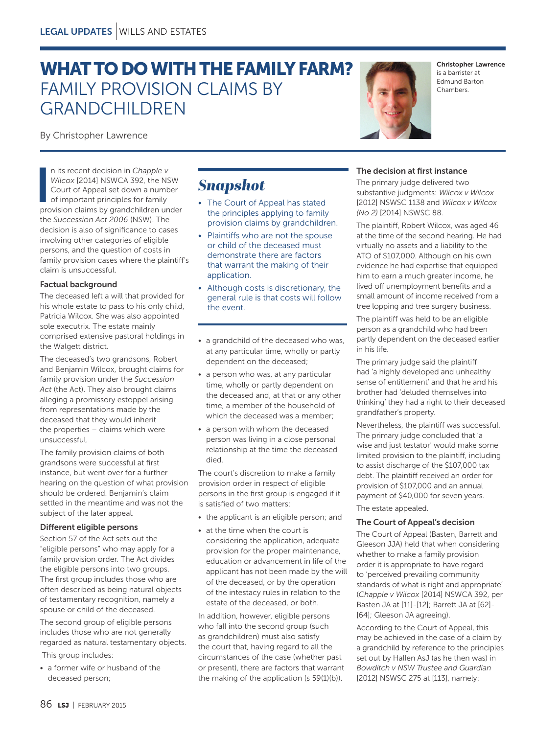# WHAT TO DO WITH THE FAMILY FARM? FAMILY PROVISION CLAIMS BY GRANDCHILDREN

By Christopher Lawrence

n its recent decision in *Chapple v*<br>Wilcox [2014] NSWCA 392, the NSW<br>Court of Appeal set down a number<br>of important principles for family<br>provision claims by grandchildren under n its recent decision in *Chapple v Wilcox* [2014] NSWCA 392, the NSW Court of Appeal set down a number of important principles for family the *Succession Act 2006* (NSW). The decision is also of significance to cases involving other categories of eligible persons, and the question of costs in family provision cases where the plaintiff's claim is unsuccessful.

### Factual background

The deceased left a will that provided for his whole estate to pass to his only child, Patricia Wilcox. She was also appointed sole executrix. The estate mainly comprised extensive pastoral holdings in the Walgett district.

The deceased's two grandsons, Robert and Benjamin Wilcox, brought claims for family provision under the *Succession*  Act (the Act). They also brought claims alleging a promissory estoppel arising from representations made by the deceased that they would inherit the properties – claims which were unsuccessful.

The family provision claims of both grandsons were successful at first instance, but went over for a further hearing on the question of what provision should be ordered. Benjamin's claim settled in the meantime and was not the subject of the later appeal.

### Different eligible persons

Section 57 of the Act sets out the "eligible persons" who may apply for a family provision order. The Act divides the eligible persons into two groups. The first group includes those who are often described as being natural objects of testamentary recognition, namely a spouse or child of the deceased.

The second group of eligible persons includes those who are not generally regarded as natural testamentary objects. This group includes:

• a former wife or husband of the deceased person;

# *Snapshot*

- The Court of Appeal has stated the principles applying to family provision claims by grandchildren.
- Plaintiffs who are not the spouse or child of the deceased must demonstrate there are factors that warrant the making of their application.
- Although costs is discretionary, the general rule is that costs will follow the event.
- a grandchild of the deceased who was. at any particular time, wholly or partly dependent on the deceased;
- a person who was, at any particular time, wholly or partly dependent on the deceased and, at that or any other time, a member of the household of which the deceased was a member;
- a person with whom the deceased person was living in a close personal relationship at the time the deceased died.

The court's discretion to make a family provision order in respect of eligible persons in the first group is engaged if it is satisfied of two matters:

- the applicant is an eligible person; and
- at the time when the court is considering the application, adequate provision for the proper maintenance, education or advancement in life of the applicant has not been made by the will of the deceased, or by the operation of the intestacy rules in relation to the estate of the deceased, or both.

In addition, however, eligible persons who fall into the second group (such as grandchildren) must also satisfy the court that, having regard to all the circumstances of the case (whether past or present), there are factors that warrant the making of the application (s 59(1)(b)).

# The decision at first instance

The primary judge delivered two substantive judgments: *Wilcox v Wilcox*  [2012] NSWSC 1138 and *Wilcox v Wilcox (No 2)* [2014] NSWSC 88.

The plaintiff, Robert Wilcox, was aged 46 at the time of the second hearing. He had virtually no assets and a liability to the ATO of \$107,000. Although on his own evidence he had expertise that equipped him to earn a much greater income, he lived off unemployment benefits and a small amount of income received from a tree lopping and tree surgery business.

The plaintiff was held to be an eligible person as a grandchild who had been partly dependent on the deceased earlier in his life.

The primary judge said the plaintiff had 'a highly developed and unhealthy sense of entitlement' and that he and his brother had 'deluded themselves into thinking' they had a right to their deceased grandfather's property.

Nevertheless, the plaintiff was successful. The primary judge concluded that 'a wise and just testator' would make some limited provision to the plaintiff, including to assist discharge of the \$107,000 tax debt. The plaintiff received an order for provision of \$107,000 and an annual payment of \$40,000 for seven years.

The estate appealed.

### The Court of Appeal's decision

The Court of Appeal (Basten, Barrett and Gleeson JJA) held that when considering whether to make a family provision order it is appropriate to have regard to 'perceived prevailing community standards of what is right and appropriate' (*Chapple v Wilcox* [2014] NSWCA 392, per Basten JA at [11]-[12]; Barrett JA at [62]- [64]; Gleeson JA agreeing).

According to the Court of Appeal, this may be achieved in the case of a claim by a grandchild by reference to the principles set out by Hallen AsJ (as he then was) in *Bowditch v NSW Trustee and Guardian* [2012] NSWSC 275 at [113], namely:



Christopher Lawrence is a barrister at Edmund Barton Chambers.